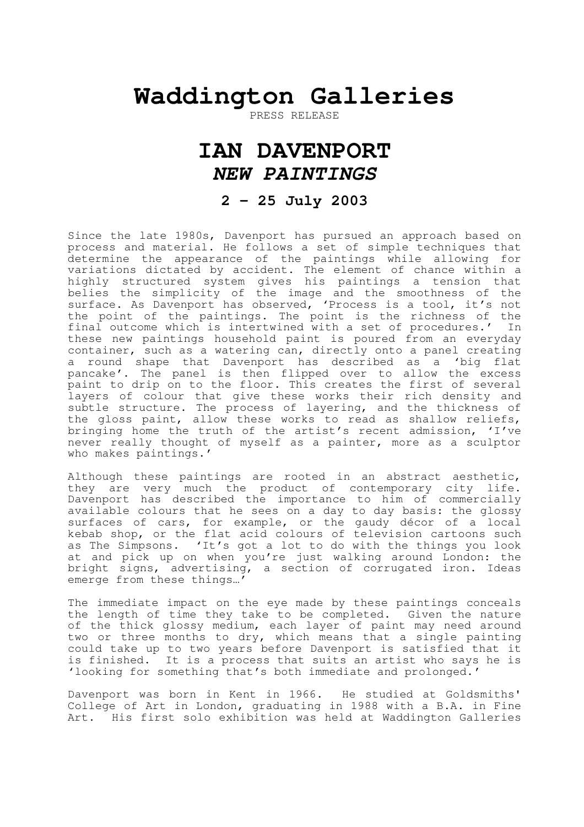## **Waddington Galleries**

PRESS RELEASE

## **IAN DAVENPORT NEW PAINTINGS**

## **2 – 25 July 2003**

Since the late 1980s, Davenport has pursued an approach based on process and material. He follows a set of simple techniques that determine the appearance of the paintings while allowing for variations dictated by accident. The element of chance within a highly structured system gives his paintings a tension that belies the simplicity of the image and the smoothness of the surface. As Davenport has observed, 'Process is a tool, it's not the point of the paintings. The point is the richness of the final outcome which is intertwined with a set of procedures.' In these new paintings household paint is poured from an everyday container, such as a watering can, directly onto a panel creating a round shape that Davenport has described as a 'big flat pancake'. The panel is then flipped over to allow the excess paint to drip on to the floor. This creates the first of several layers of colour that give these works their rich density and subtle structure. The process of layering, and the thickness of the gloss paint, allow these works to read as shallow reliefs, bringing home the truth of the artist's recent admission, 'I've never really thought of myself as a painter, more as a sculptor who makes paintings.'

Although these paintings are rooted in an abstract aesthetic, they are very much the product of contemporary city life. Davenport has described the importance to him of commercially available colours that he sees on a day to day basis: the glossy surfaces of cars, for example, or the gaudy décor of a local kebab shop, or the flat acid colours of television cartoons such as The Simpsons. 'It's got a lot to do with the things you look at and pick up on when you're just walking around London: the bright signs, advertising, a section of corrugated iron. Ideas emerge from these things…'

The immediate impact on the eye made by these paintings conceals the length of time they take to be completed. Given the nature of the thick glossy medium, each layer of paint may need around two or three months to dry, which means that a single painting could take up to two years before Davenport is satisfied that it is finished. It is a process that suits an artist who says he is 'looking for something that's both immediate and prolonged.'

Davenport was born in Kent in 1966. He studied at Goldsmiths' College of Art in London, graduating in 1988 with a B.A. in Fine Art. His first solo exhibition was held at Waddington Galleries